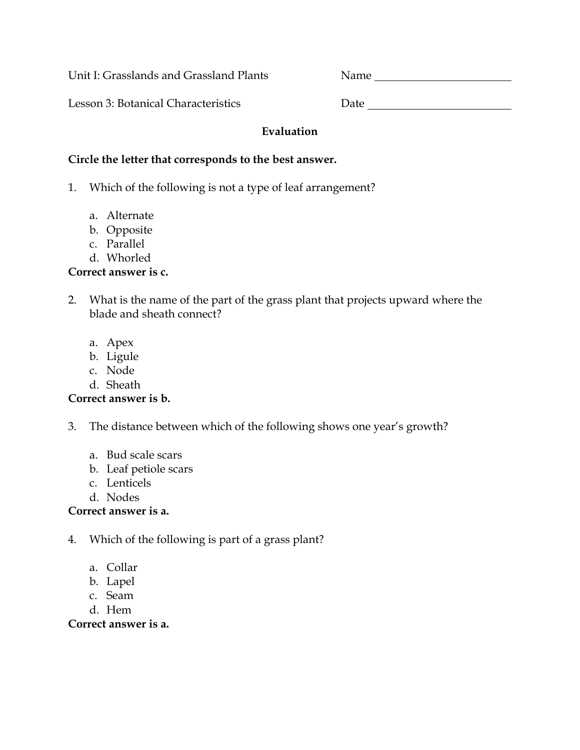Unit I: Grasslands and Grassland Plants Name

Lesson 3: Botanical Characteristics Date Date

#### **Evaluation**

#### **Circle the letter that corresponds to the best answer.**

- 1. Which of the following is not a type of leaf arrangement?
	- a. Alternate
	- b. Opposite
	- c. Parallel
	- d. Whorled

#### **Correct answer is c.**

- 2. What is the name of the part of the grass plant that projects upward where the blade and sheath connect?
	- a. Apex
	- b. Ligule
	- c. Node
	- d. Sheath

## **Correct answer is b.**

- 3. The distance between which of the following shows one year's growth?
	- a. Bud scale scars
	- b. Leaf petiole scars
	- c. Lenticels
	- d. Nodes

#### **Correct answer is a.**

- 4. Which of the following is part of a grass plant?
	- a. Collar
	- b. Lapel
	- c. Seam
	- d. Hem

#### **Correct answer is a.**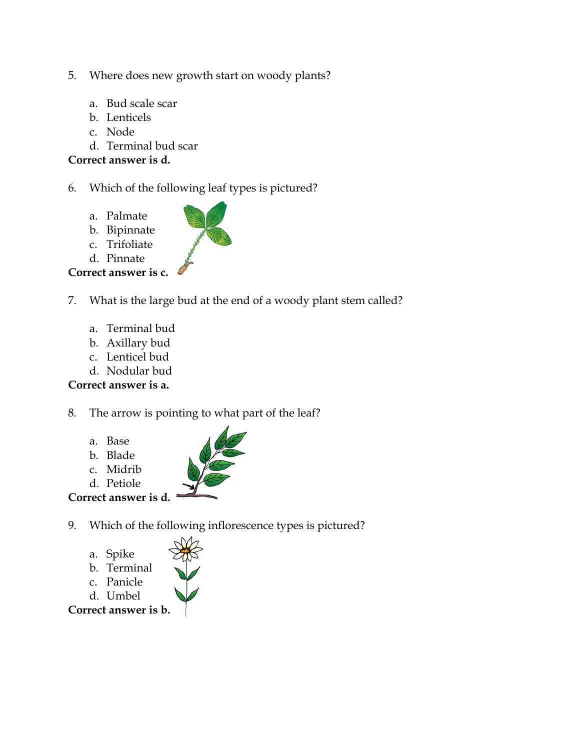- 5. Where does new growth start on woody plants?
	- a. Bud scale scar
	- b. Lenticels
	- c. Node
	- d. Terminal bud scar

### **Correct answer is d.**

6. Which of the following leaf types is pictured?

- a. Palmate
- b. Bipinnate
- c. Trifoliate
- d. Pinnate

# **Correct answer is c.**

- 7. What is the large bud at the end of a woody plant stem called?
	- a. Terminal bud
	- b. Axillary bud
	- c. Lenticel bud
	- d. Nodular bud

## **Correct answer is a.**

- 8. The arrow is pointing to what part of the leaf?
	- a. Base
	- b. Blade

d. Petiole

- c. Midrib
	-
- **Correct answer is d.**
- 9. Which of the following inflorescence types is pictured?
	- a. Spike
	- b. Terminal
	- c. Panicle
	- d. Umbel

**Correct answer is b.**